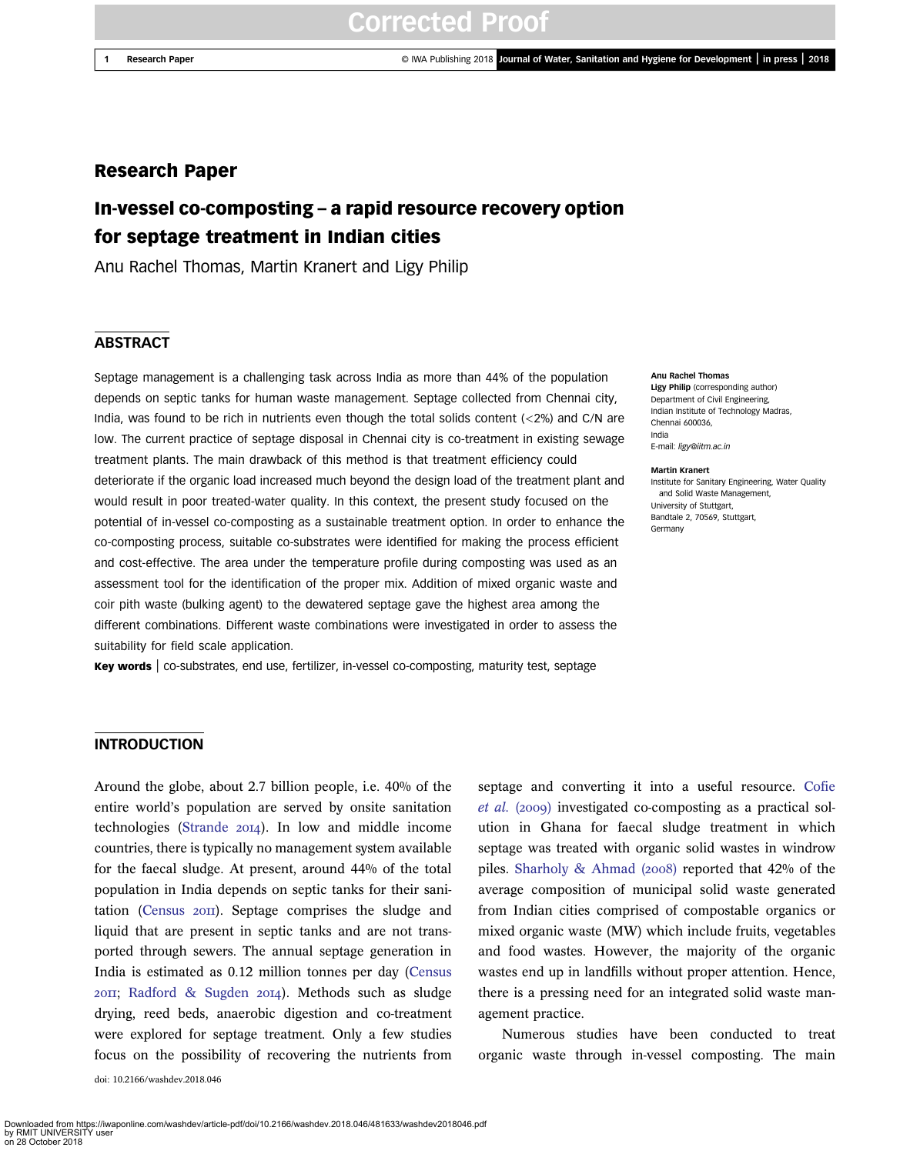1 Research Paper **Capacity Community Community** Community Community Community Community Community Community Community Community Community Community Community Community Community Community Community Community Community Comm

## Research Paper

## In-vessel co-composting – a rapid resource recovery option for septage treatment in Indian cities

Anu Rachel Thomas, Martin Kranert and Ligy Philip

## **ABSTRACT**

Septage management is a challenging task across India as more than 44% of the population depends on septic tanks for human waste management. Septage collected from Chennai city, India, was found to be rich in nutrients even though the total solids content (<2%) and C/N are low. The current practice of septage disposal in Chennai city is co-treatment in existing sewage treatment plants. The main drawback of this method is that treatment efficiency could deteriorate if the organic load increased much beyond the design load of the treatment plant and would result in poor treated-water quality. In this context, the present study focused on the potential of in-vessel co-composting as a sustainable treatment option. In order to enhance the co-composting process, suitable co-substrates were identified for making the process efficient and cost-effective. The area under the temperature profile during composting was used as an assessment tool for the identification of the proper mix. Addition of mixed organic waste and coir pith waste (bulking agent) to the dewatered septage gave the highest area among the different combinations. Different waste combinations were investigated in order to assess the suitability for field scale application.

Key words | co-substrates, end use, fertilizer, in-vessel co-composting, maturity test, septage

#### Anu Rachel Thomas

Ligy Philip (corresponding author) Department of Civil Engineering, Indian Institute of Technology Madras, Chennai 600036, India E-mail: ligy@iitm.ac.in

#### Martin Kranert

Institute for Sanitary Engineering, Water Quality and Solid Waste Management, University of Stuttgart, Bandtale 2, 70569, Stuttgart, Germany

## INTRODUCTION

Around the globe, about 2.7 billion people, i.e. 40% of the entire world's population are served by onsite sanitation technologies (Strande 2014). In low and middle income countries, there is typically no management system available for the faecal sludge. At present, around 44% of the total population in India depends on septic tanks for their sanitation (Census  $20\text{H}$ ). Septage comprises the sludge and liquid that are present in septic tanks and are not transported through sewers. The annual septage generation in India is estimated as 0.12 million tonnes per day (Census 2011; Radford & Sugden 2014). Methods such as sludge drying, reed beds, anaerobic digestion and co-treatment were explored for septage treatment. Only a few studies focus on the possibility of recovering the nutrients from doi: 10.2166/washdev.2018.046

septage and converting it into a useful resource. Cofie *et al.* (2009) investigated co-composting as a practical solution in Ghana for faecal sludge treatment in which septage was treated with organic solid wastes in windrow piles. Sharholy & Ahmad  $(2008)$  reported that 42% of the average composition of municipal solid waste generated from Indian cities comprised of compostable organics or mixed organic waste (MW) which include fruits, vegetables and food wastes. However, the majority of the organic wastes end up in landfills without proper attention. Hence, there is a pressing need for an integrated solid waste management practice.

Numerous studies have been conducted to treat organic waste through in-vessel composting. The main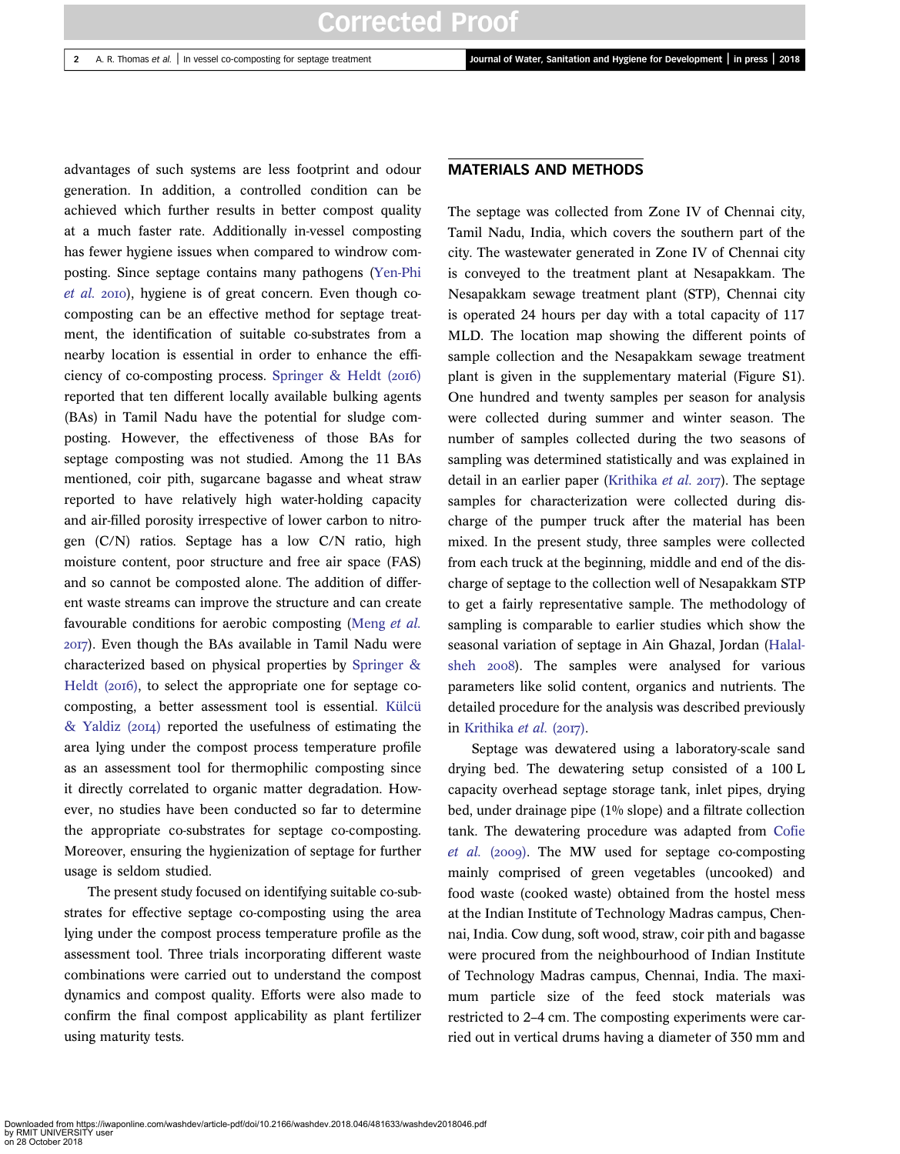advantages of such systems are less footprint and odour generation. In addition, a controlled condition can be achieved which further results in better compost quality at a much faster rate. Additionally in-vessel composting has fewer hygiene issues when compared to windrow composting. Since septage contains many pathogens (Yen-Phi *et al.* 2010), hygiene is of great concern. Even though cocomposting can be an effective method for septage treatment, the identification of suitable co-substrates from a nearby location is essential in order to enhance the efficiency of co-composting process. Springer  $\&$  Heldt (2016) reported that ten different locally available bulking agents (BAs) in Tamil Nadu have the potential for sludge composting. However, the effectiveness of those BAs for septage composting was not studied. Among the 11 BAs mentioned, coir pith, sugarcane bagasse and wheat straw reported to have relatively high water-holding capacity and air-filled porosity irrespective of lower carbon to nitrogen (C/N) ratios. Septage has a low C/N ratio, high moisture content, poor structure and free air space (FAS) and so cannot be composted alone. The addition of different waste streams can improve the structure and can create favourable conditions for aerobic composting (Meng *et al.* ). Even though the BAs available in Tamil Nadu were characterized based on physical properties by Springer & Heldt  $(2016)$ , to select the appropriate one for septage cocomposting, a better assessment tool is essential. Külcü  $&$  Yaldiz (2014) reported the usefulness of estimating the area lying under the compost process temperature profile as an assessment tool for thermophilic composting since it directly correlated to organic matter degradation. However, no studies have been conducted so far to determine the appropriate co-substrates for septage co-composting. Moreover, ensuring the hygienization of septage for further usage is seldom studied.

The present study focused on identifying suitable co-substrates for effective septage co-composting using the area lying under the compost process temperature profile as the assessment tool. Three trials incorporating different waste combinations were carried out to understand the compost dynamics and compost quality. Efforts were also made to confirm the final compost applicability as plant fertilizer using maturity tests.

### MATERIALS AND METHODS

The septage was collected from Zone IV of Chennai city, Tamil Nadu, India, which covers the southern part of the city. The wastewater generated in Zone IV of Chennai city is conveyed to the treatment plant at Nesapakkam. The Nesapakkam sewage treatment plant (STP), Chennai city is operated 24 hours per day with a total capacity of 117 MLD. The location map showing the different points of sample collection and the Nesapakkam sewage treatment plant is given in the supplementary material (Figure S1). One hundred and twenty samples per season for analysis were collected during summer and winter season. The number of samples collected during the two seasons of sampling was determined statistically and was explained in detail in an earlier paper (Krithika *et al.* 2017). The septage samples for characterization were collected during discharge of the pumper truck after the material has been mixed. In the present study, three samples were collected from each truck at the beginning, middle and end of the discharge of septage to the collection well of Nesapakkam STP to get a fairly representative sample. The methodology of sampling is comparable to earlier studies which show the seasonal variation of septage in Ain Ghazal, Jordan (Halalsheh 2008). The samples were analysed for various parameters like solid content, organics and nutrients. The detailed procedure for the analysis was described previously in Krithika *et al.* (2017).

Septage was dewatered using a laboratory-scale sand drying bed. The dewatering setup consisted of a 100 L capacity overhead septage storage tank, inlet pipes, drying bed, under drainage pipe (1% slope) and a filtrate collection tank. The dewatering procedure was adapted from Cofie *et al.* (2009). The MW used for septage co-composting mainly comprised of green vegetables (uncooked) and food waste (cooked waste) obtained from the hostel mess at the Indian Institute of Technology Madras campus, Chennai, India. Cow dung, soft wood, straw, coir pith and bagasse were procured from the neighbourhood of Indian Institute of Technology Madras campus, Chennai, India. The maximum particle size of the feed stock materials was restricted to 2–4 cm. The composting experiments were carried out in vertical drums having a diameter of 350 mm and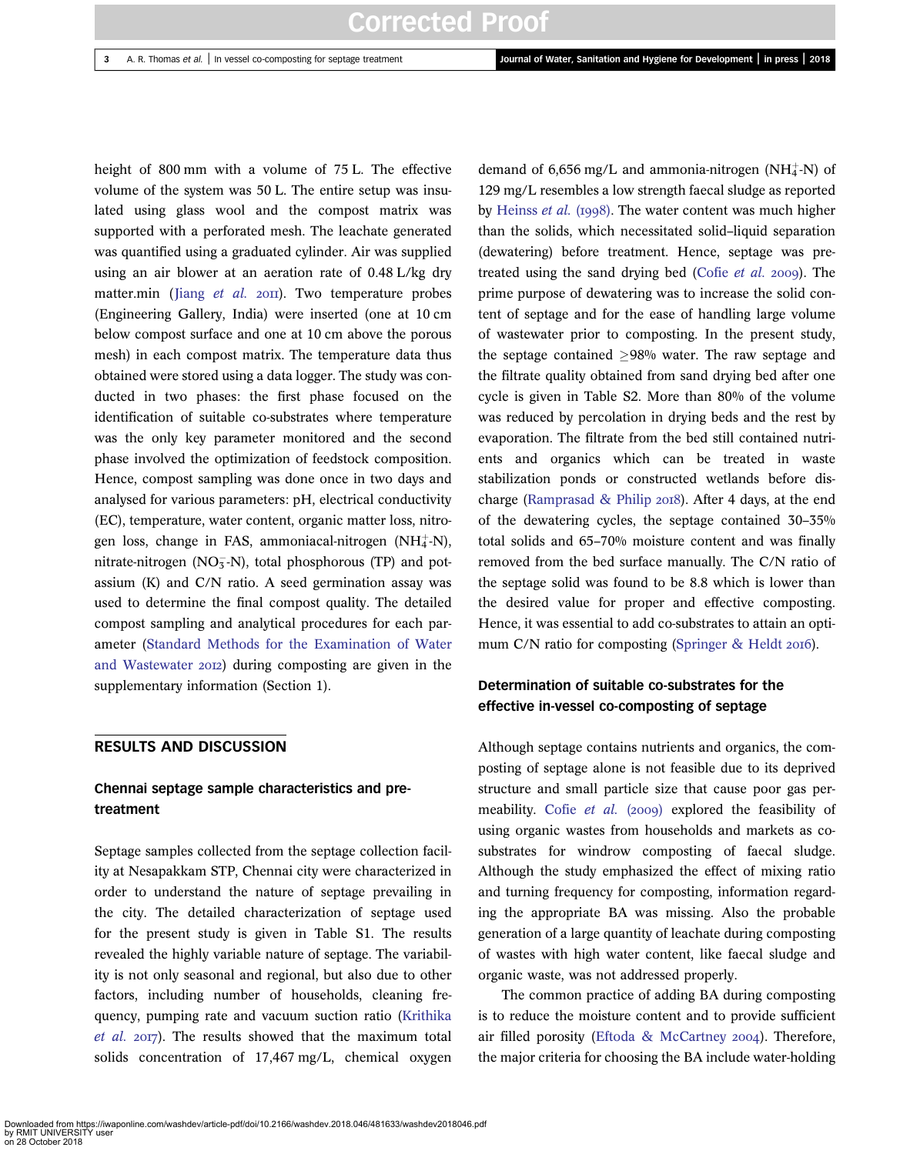height of 800 mm with a volume of 75 L. The effective volume of the system was 50 L. The entire setup was insulated using glass wool and the compost matrix was supported with a perforated mesh. The leachate generated was quantified using a graduated cylinder. Air was supplied using an air blower at an aeration rate of 0.48 L/kg dry matter.min (Jiang et al. 2011). Two temperature probes (Engineering Gallery, India) were inserted (one at 10 cm below compost surface and one at 10 cm above the porous mesh) in each compost matrix. The temperature data thus obtained were stored using a data logger. The study was conducted in two phases: the first phase focused on the identification of suitable co-substrates where temperature was the only key parameter monitored and the second phase involved the optimization of feedstock composition. Hence, compost sampling was done once in two days and analysed for various parameters: pH, electrical conductivity (EC), temperature, water content, organic matter loss, nitrogen loss, change in FAS, ammoniacal-nitrogen  $(NH_4^+N)$ , nitrate-nitrogen ( $NO<sub>3</sub><sup>-</sup>N$ ), total phosphorous (TP) and potassium (K) and C/N ratio. A seed germination assay was used to determine the final compost quality. The detailed compost sampling and analytical procedures for each parameter (Standard Methods for the Examination of Water and Wastewater 2012) during composting are given in the supplementary information (Section 1).

### RESULTS AND DISCUSSION

## Chennai septage sample characteristics and pretreatment

Septage samples collected from the septage collection facility at Nesapakkam STP, Chennai city were characterized in order to understand the nature of septage prevailing in the city. The detailed characterization of septage used for the present study is given in Table S1. The results revealed the highly variable nature of septage. The variability is not only seasonal and regional, but also due to other factors, including number of households, cleaning frequency, pumping rate and vacuum suction ratio (Krithika et al. 2017). The results showed that the maximum total solids concentration of 17,467 mg/L, chemical oxygen

demand of  $6,656$  mg/L and ammonia-nitrogen (NH $_4^+$ -N) of 129 mg/L resembles a low strength faecal sludge as reported by Heinss *et al.* (1998). The water content was much higher than the solids, which necessitated solid–liquid separation (dewatering) before treatment. Hence, septage was pretreated using the sand drying bed (Cofie *et al.* 2009). The prime purpose of dewatering was to increase the solid content of septage and for the ease of handling large volume of wastewater prior to composting. In the present study, the septage contained  $>98\%$  water. The raw septage and the filtrate quality obtained from sand drying bed after one cycle is given in Table S2. More than 80% of the volume was reduced by percolation in drying beds and the rest by evaporation. The filtrate from the bed still contained nutrients and organics which can be treated in waste stabilization ponds or constructed wetlands before discharge (Ramprasad  $\&$  Philip 2018). After 4 days, at the end of the dewatering cycles, the septage contained 30–35% total solids and 65–70% moisture content and was finally removed from the bed surface manually. The C/N ratio of the septage solid was found to be 8.8 which is lower than the desired value for proper and effective composting. Hence, it was essential to add co-substrates to attain an optimum C/N ratio for composting (Springer & Heldt 2016).

## Determination of suitable co-substrates for the effective in-vessel co-composting of septage

Although septage contains nutrients and organics, the composting of septage alone is not feasible due to its deprived structure and small particle size that cause poor gas permeability. Cofie *et al.* (2009) explored the feasibility of using organic wastes from households and markets as cosubstrates for windrow composting of faecal sludge. Although the study emphasized the effect of mixing ratio and turning frequency for composting, information regarding the appropriate BA was missing. Also the probable generation of a large quantity of leachate during composting of wastes with high water content, like faecal sludge and organic waste, was not addressed properly.

The common practice of adding BA during composting is to reduce the moisture content and to provide sufficient air filled porosity (Eftoda & McCartney 2004). Therefore, the major criteria for choosing the BA include water-holding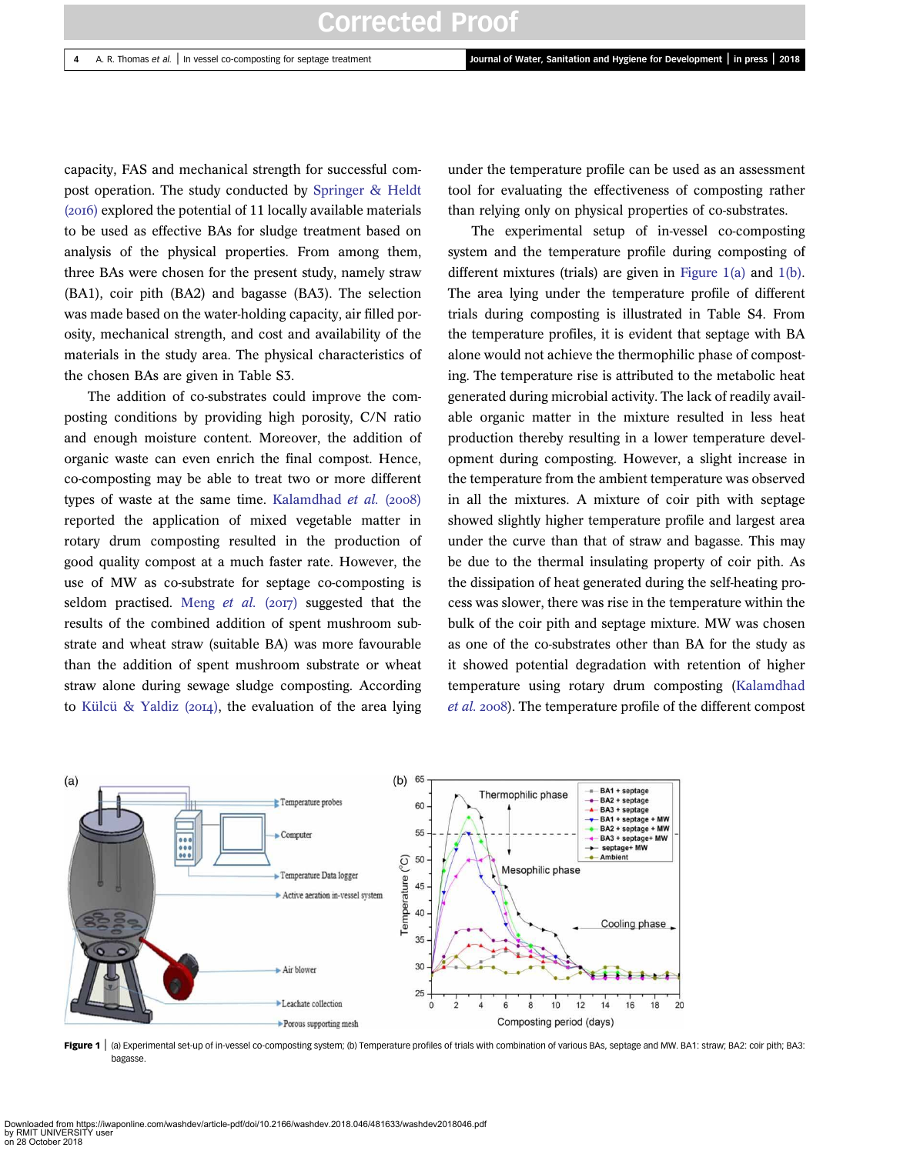capacity, FAS and mechanical strength for successful compost operation. The study conducted by Springer & Heldt  $(20I6)$  explored the potential of 11 locally available materials to be used as effective BAs for sludge treatment based on analysis of the physical properties. From among them, three BAs were chosen for the present study, namely straw (BA1), coir pith (BA2) and bagasse (BA3). The selection was made based on the water-holding capacity, air filled porosity, mechanical strength, and cost and availability of the materials in the study area. The physical characteristics of the chosen BAs are given in Table S3.

The addition of co-substrates could improve the composting conditions by providing high porosity, C/N ratio and enough moisture content. Moreover, the addition of organic waste can even enrich the final compost. Hence, co-composting may be able to treat two or more different types of waste at the same time. Kalamdhad *et al.* (2008) reported the application of mixed vegetable matter in rotary drum composting resulted in the production of good quality compost at a much faster rate. However, the use of MW as co-substrate for septage co-composting is seldom practised. Meng *et al.* (2017) suggested that the results of the combined addition of spent mushroom substrate and wheat straw (suitable BA) was more favourable than the addition of spent mushroom substrate or wheat straw alone during sewage sludge composting. According to Külcü & Yaldiz ( $20I4$ ), the evaluation of the area lying under the temperature profile can be used as an assessment tool for evaluating the effectiveness of composting rather than relying only on physical properties of co-substrates.

The experimental setup of in-vessel co-composting system and the temperature profile during composting of different mixtures (trials) are given in Figure 1(a) and 1(b). The area lying under the temperature profile of different trials during composting is illustrated in Table S4. From the temperature profiles, it is evident that septage with BA alone would not achieve the thermophilic phase of composting. The temperature rise is attributed to the metabolic heat generated during microbial activity. The lack of readily available organic matter in the mixture resulted in less heat production thereby resulting in a lower temperature development during composting. However, a slight increase in the temperature from the ambient temperature was observed in all the mixtures. A mixture of coir pith with septage showed slightly higher temperature profile and largest area under the curve than that of straw and bagasse. This may be due to the thermal insulating property of coir pith. As the dissipation of heat generated during the self-heating process was slower, there was rise in the temperature within the bulk of the coir pith and septage mixture. MW was chosen as one of the co-substrates other than BA for the study as it showed potential degradation with retention of higher temperature using rotary drum composting (Kalamdhad *et al.* 2008). The temperature profile of the different compost



Figure 1 | (a) Experimental set-up of in-vessel co-composting system; (b) Temperature profiles of trials with combination of various BAs, septage and MW. BA1: straw; BA2: coir pith; BA3: bagasse.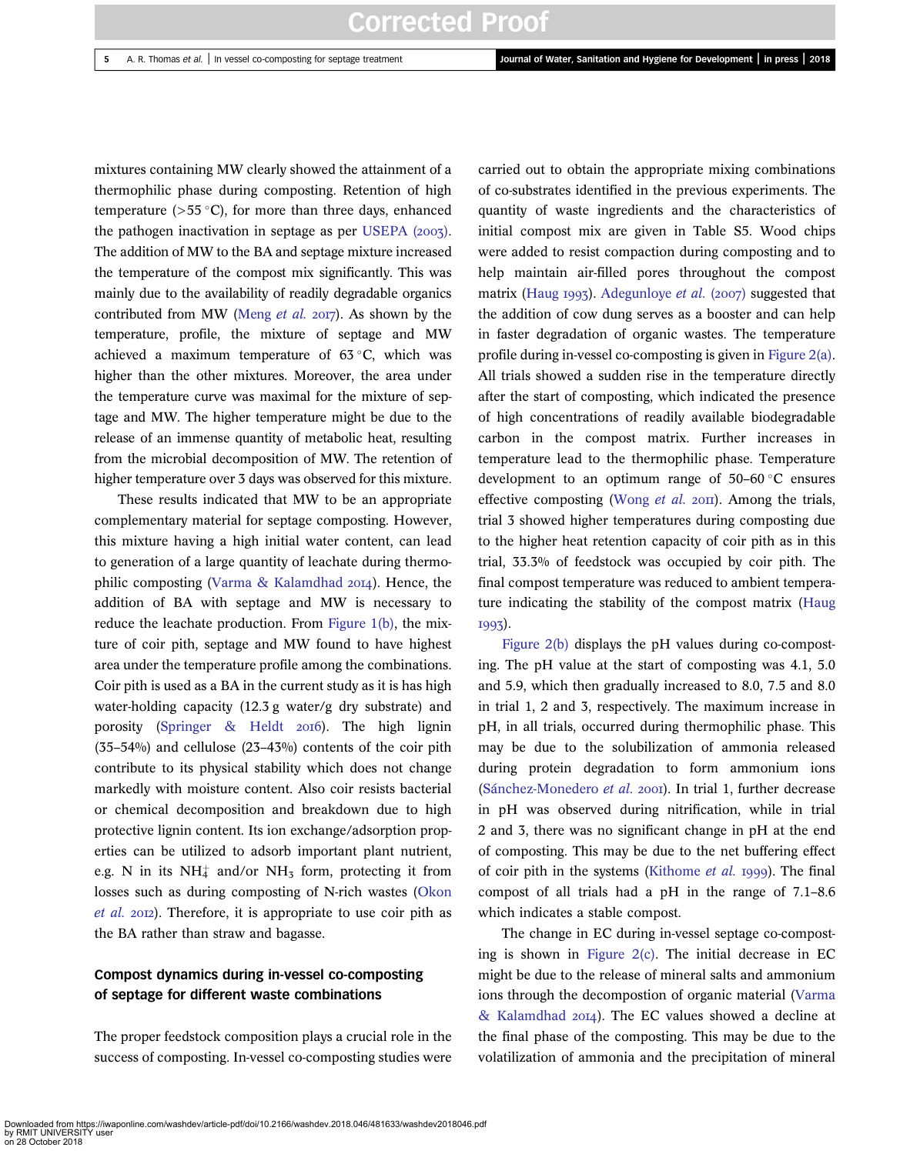mixtures containing MW clearly showed the attainment of a thermophilic phase during composting. Retention of high temperature ( $>55^{\circ}$ C), for more than three days, enhanced the pathogen inactivation in septage as per USEPA  $(2007)$ . The addition of MW to the BA and septage mixture increased the temperature of the compost mix significantly. This was mainly due to the availability of readily degradable organics contributed from MW (Meng *et al.* 2017). As shown by the temperature, profile, the mixture of septage and MW achieved a maximum temperature of  $63^{\circ}$ C, which was higher than the other mixtures. Moreover, the area under the temperature curve was maximal for the mixture of septage and MW. The higher temperature might be due to the release of an immense quantity of metabolic heat, resulting from the microbial decomposition of MW. The retention of higher temperature over 3 days was observed for this mixture.

These results indicated that MW to be an appropriate complementary material for septage composting. However, this mixture having a high initial water content, can lead to generation of a large quantity of leachate during thermophilic composting (Varma & Kalamdhad  $20I4$ ). Hence, the addition of BA with septage and MW is necessary to reduce the leachate production. From Figure 1(b), the mixture of coir pith, septage and MW found to have highest area under the temperature profile among the combinations. Coir pith is used as a BA in the current study as it is has high water-holding capacity (12.3 g water/g dry substrate) and porosity (Springer  $\&$  Heldt 2016). The high lignin (35–54%) and cellulose (23–43%) contents of the coir pith contribute to its physical stability which does not change markedly with moisture content. Also coir resists bacterial or chemical decomposition and breakdown due to high protective lignin content. Its ion exchange/adsorption properties can be utilized to adsorb important plant nutrient, e.g. N in its NH $_4^+$  and/or NH<sub>3</sub> form, protecting it from losses such as during composting of N-rich wastes (Okon *et al.* 2012). Therefore, it is appropriate to use coir pith as the BA rather than straw and bagasse.

## Compost dynamics during in-vessel co-composting of septage for different waste combinations

The proper feedstock composition plays a crucial role in the success of composting. In-vessel co-composting studies were carried out to obtain the appropriate mixing combinations of co-substrates identified in the previous experiments. The quantity of waste ingredients and the characteristics of initial compost mix are given in Table S5. Wood chips were added to resist compaction during composting and to help maintain air-filled pores throughout the compost matrix (Haug 1993). Adegunloye et al. (2007) suggested that the addition of cow dung serves as a booster and can help in faster degradation of organic wastes. The temperature profile during in-vessel co-composting is given in Figure 2(a). All trials showed a sudden rise in the temperature directly after the start of composting, which indicated the presence of high concentrations of readily available biodegradable carbon in the compost matrix. Further increases in temperature lead to the thermophilic phase. Temperature development to an optimum range of  $50-60$  °C ensures effective composting (Wong *et al.* 2011). Among the trials, trial 3 showed higher temperatures during composting due to the higher heat retention capacity of coir pith as in this trial, 33.3% of feedstock was occupied by coir pith. The final compost temperature was reduced to ambient temperature indicating the stability of the compost matrix (Haug 1993).

Figure 2(b) displays the pH values during co-composting. The pH value at the start of composting was 4.1, 5.0 and 5.9, which then gradually increased to 8.0, 7.5 and 8.0 in trial 1, 2 and 3, respectively. The maximum increase in pH, in all trials, occurred during thermophilic phase. This may be due to the solubilization of ammonia released during protein degradation to form ammonium ions (Sánchez-Monedero *et al.* 2001). In trial 1, further decrease in pH was observed during nitrification, while in trial 2 and 3, there was no significant change in pH at the end of composting. This may be due to the net buffering effect of coir pith in the systems (Kithome *et al.* 1999). The final compost of all trials had a pH in the range of 7.1–8.6 which indicates a stable compost.

The change in EC during in-vessel septage co-composting is shown in Figure  $2(c)$ . The initial decrease in EC might be due to the release of mineral salts and ammonium ions through the decompostion of organic material (Varma & Kalamdhad 2014). The EC values showed a decline at the final phase of the composting. This may be due to the volatilization of ammonia and the precipitation of mineral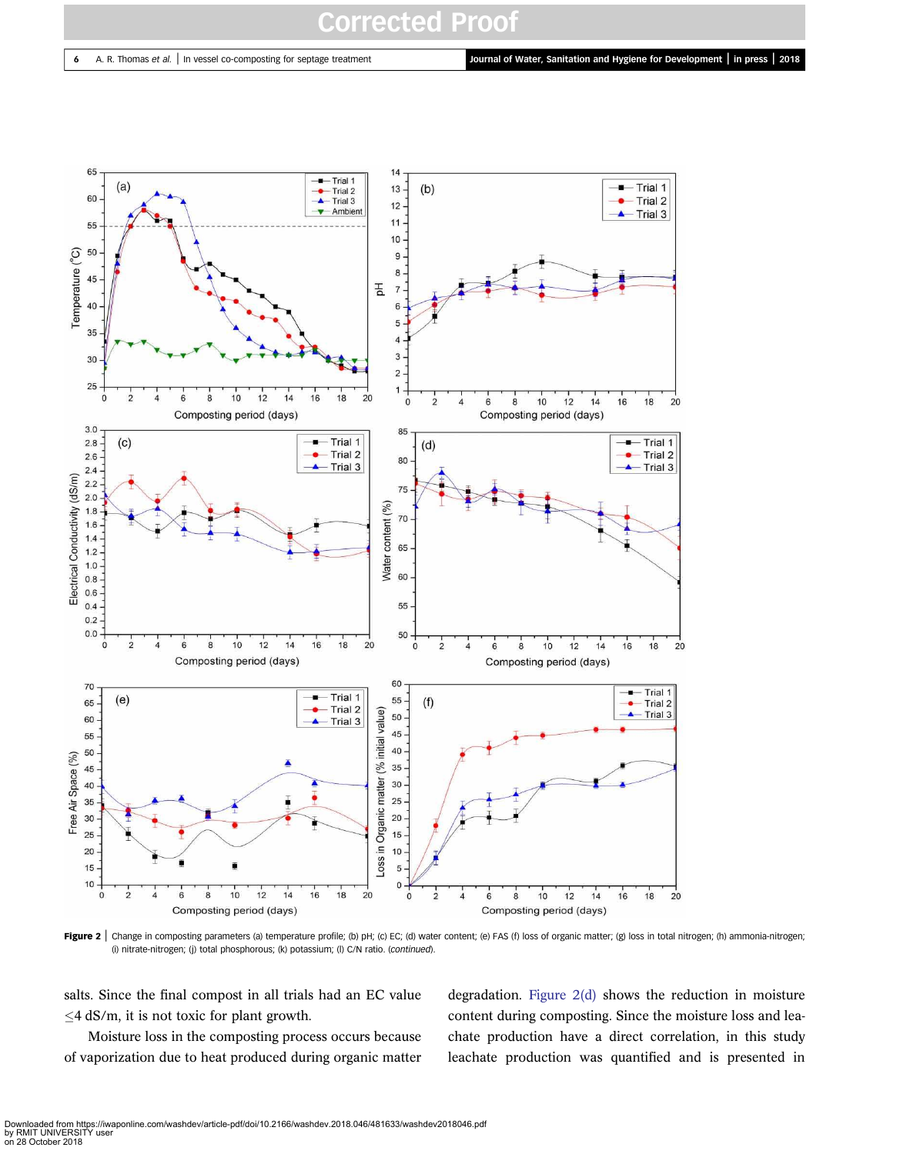6 A. R. Thomas et al. | In vessel co-composting for septage treatment Journal of Water, Sanitation and Hygiene for Development | in press | 2018



Figure 2 | Change in composting parameters (a) temperature profile; (b) pH; (c) EC; (d) water content; (e) FAS (f) loss of organic matter; (g) loss in total nitrogen; (h) ammonia-nitrogen; (i) nitrate-nitrogen; (j) total phosphorous; (k) potassium; (l) C/N ratio. (continued).

salts. Since the final compost in all trials had an EC value  $\leq$  4 dS/m, it is not toxic for plant growth.

Moisture loss in the composting process occurs because of vaporization due to heat produced during organic matter degradation. Figure  $2(d)$  shows the reduction in moisture content during composting. Since the moisture loss and leachate production have a direct correlation, in this study leachate production was quantified and is presented in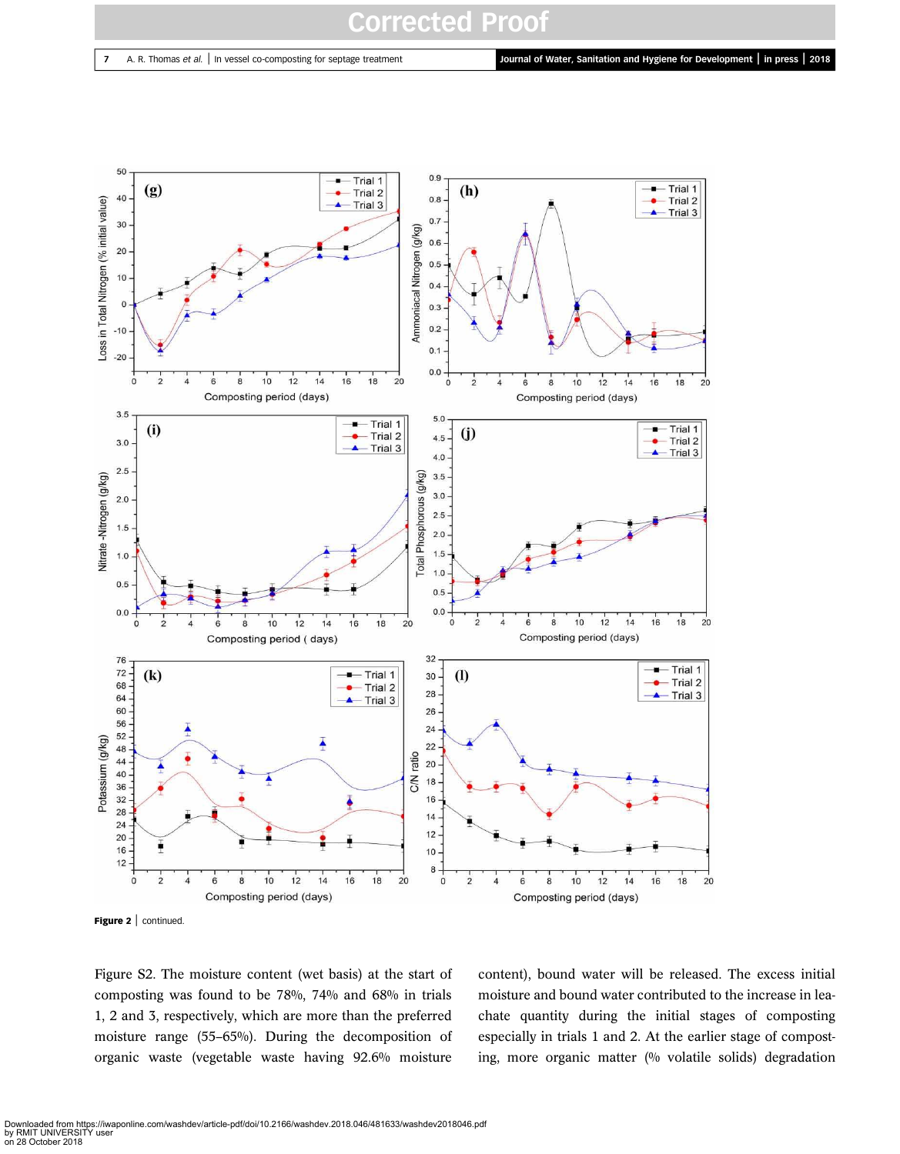

Figure 2 | continued.

Figure S2. The moisture content (wet basis) at the start of composting was found to be 78%, 74% and 68% in trials 1, 2 and 3, respectively, which are more than the preferred moisture range (55–65%). During the decomposition of organic waste (vegetable waste having 92.6% moisture

content), bound water will be released. The excess initial moisture and bound water contributed to the increase in leachate quantity during the initial stages of composting especially in trials 1 and 2. At the earlier stage of composting, more organic matter (% volatile solids) degradation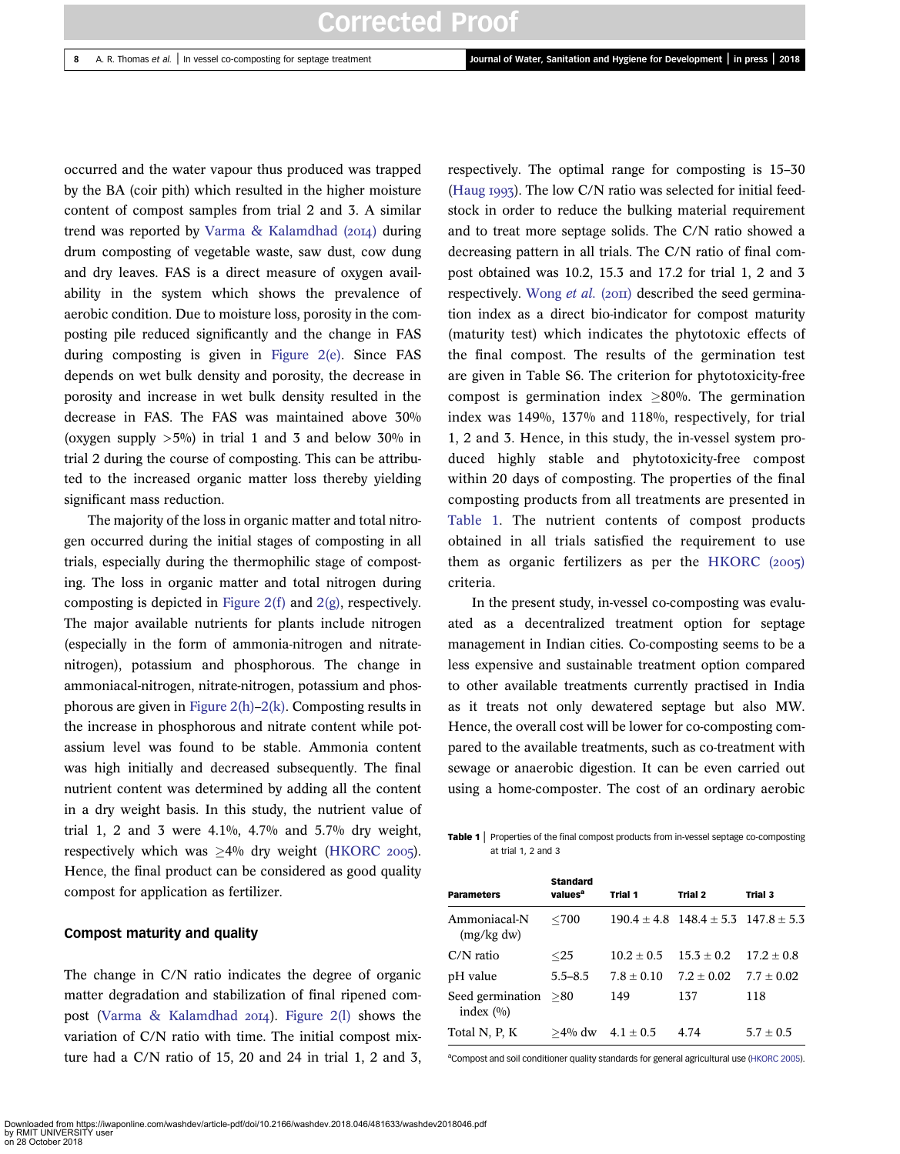occurred and the water vapour thus produced was trapped by the BA (coir pith) which resulted in the higher moisture content of compost samples from trial 2 and 3. A similar trend was reported by Varma & Kalamdhad  $(20I4)$  during drum composting of vegetable waste, saw dust, cow dung and dry leaves. FAS is a direct measure of oxygen availability in the system which shows the prevalence of aerobic condition. Due to moisture loss, porosity in the composting pile reduced significantly and the change in FAS during composting is given in Figure 2(e). Since FAS depends on wet bulk density and porosity, the decrease in porosity and increase in wet bulk density resulted in the decrease in FAS. The FAS was maintained above 30% (oxygen supply  $>5\%$ ) in trial 1 and 3 and below 30% in trial 2 during the course of composting. This can be attributed to the increased organic matter loss thereby yielding significant mass reduction.

The majority of the loss in organic matter and total nitrogen occurred during the initial stages of composting in all trials, especially during the thermophilic stage of composting. The loss in organic matter and total nitrogen during composting is depicted in Figure 2(f) and  $2(g)$ , respectively. The major available nutrients for plants include nitrogen (especially in the form of ammonia-nitrogen and nitratenitrogen), potassium and phosphorous. The change in ammoniacal-nitrogen, nitrate-nitrogen, potassium and phosphorous are given in Figure 2(h)–2(k). Composting results in the increase in phosphorous and nitrate content while potassium level was found to be stable. Ammonia content was high initially and decreased subsequently. The final nutrient content was determined by adding all the content in a dry weight basis. In this study, the nutrient value of trial 1, 2 and 3 were  $4.1\%$ ,  $4.7\%$  and  $5.7\%$  dry weight, respectively which was  $\geq 4\%$  dry weight (HKORC 2005). Hence, the final product can be considered as good quality compost for application as fertilizer.

#### Compost maturity and quality

The change in C/N ratio indicates the degree of organic matter degradation and stabilization of final ripened compost (Varma & Kalamdhad  $20I4$ ). Figure 2(l) shows the variation of C/N ratio with time. The initial compost mixture had a C/N ratio of 15, 20 and 24 in trial 1, 2 and 3, respectively. The optimal range for composting is 15–30 (Haug  $1993$ ). The low C/N ratio was selected for initial feedstock in order to reduce the bulking material requirement and to treat more septage solids. The C/N ratio showed a decreasing pattern in all trials. The C/N ratio of final compost obtained was 10.2, 15.3 and 17.2 for trial 1, 2 and 3 respectively. Wong *et al.* (2011) described the seed germination index as a direct bio-indicator for compost maturity (maturity test) which indicates the phytotoxic effects of the final compost. The results of the germination test are given in Table S6. The criterion for phytotoxicity-free compost is germination index  $>80%$ . The germination index was 149%, 137% and 118%, respectively, for trial 1, 2 and 3. Hence, in this study, the in-vessel system produced highly stable and phytotoxicity-free compost within 20 days of composting. The properties of the final composting products from all treatments are presented in Table 1. The nutrient contents of compost products obtained in all trials satisfied the requirement to use them as organic fertilizers as per the HKORC  $(2005)$ criteria.

In the present study, in-vessel co-composting was evaluated as a decentralized treatment option for septage management in Indian cities. Co-composting seems to be a less expensive and sustainable treatment option compared to other available treatments currently practised in India as it treats not only dewatered septage but also MW. Hence, the overall cost will be lower for co-composting compared to the available treatments, such as co-treatment with sewage or anaerobic digestion. It can be even carried out using a home-composter. The cost of an ordinary aerobic

Table 1 | Properties of the final compost products from in-vessel septage co-composting at trial 1, 2 and 3

| <b>Parameters</b>                   | <b>Standard</b><br>values <sup>a</sup> | Trial 1      | Trial 2                                         | Trial 3      |
|-------------------------------------|----------------------------------------|--------------|-------------------------------------------------|--------------|
| Ammoniacal-N<br>(mg/kg dw)          | $<$ 700                                |              | $190.4 \pm 4.8$ $148.4 \pm 5.3$ $147.8 \pm 5.3$ |              |
| $C/N$ ratio                         | $<$ 25                                 | $10.2 + 0.5$ | $15.3 + 0.2$                                    | $17.2 + 0.8$ |
| pH value                            | $5.5 - 8.5$                            | $7.8 + 0.10$ | $7.2 + 0.02$                                    | $7.7 + 0.02$ |
| Seed germination >80<br>index $(%)$ |                                        | 149          | 137                                             | 118          |
| Total N, P, K                       | $>4\%$ dw                              | $4.1 + 0.5$  | 4.74                                            | $5.7 + 0.5$  |

<sup>a</sup>Compost and soil conditioner quality standards for general agricultural use (HKORC 2005).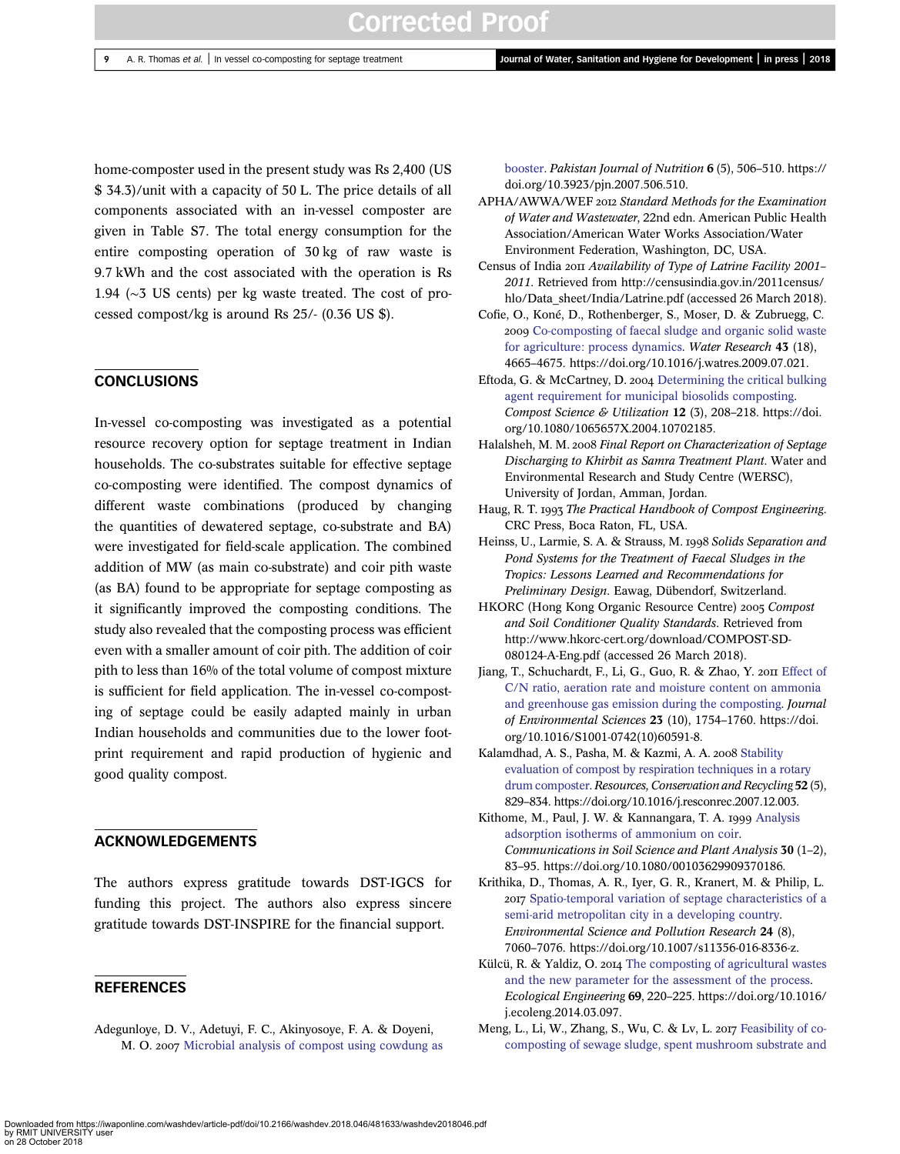home-composter used in the present study was Rs 2,400 (US \$ 34.3)/unit with a capacity of 50 L. The price details of all components associated with an in-vessel composter are given in Table S7. The total energy consumption for the entire composting operation of 30 kg of raw waste is 9.7 kWh and the cost associated with the operation is Rs 1.94 (∼3 US cents) per kg waste treated. The cost of processed compost/kg is around Rs 25/- (0.36 US \$).

#### **CONCLUSIONS**

In-vessel co-composting was investigated as a potential resource recovery option for septage treatment in Indian households. The co-substrates suitable for effective septage co-composting were identified. The compost dynamics of different waste combinations (produced by changing the quantities of dewatered septage, co-substrate and BA) were investigated for field-scale application. The combined addition of MW (as main co-substrate) and coir pith waste (as BA) found to be appropriate for septage composting as it significantly improved the composting conditions. The study also revealed that the composting process was efficient even with a smaller amount of coir pith. The addition of coir pith to less than 16% of the total volume of compost mixture is sufficient for field application. The in-vessel co-composting of septage could be easily adapted mainly in urban Indian households and communities due to the lower footprint requirement and rapid production of hygienic and good quality compost.

## ACKNOWLEDGEMENTS

The authors express gratitude towards DST-IGCS for funding this project. The authors also express sincere gratitude towards DST-INSPIRE for the financial support.

## **REFERENCES**

Adegunloye, D. V., Adetuyi, F. C., Akinyosoye, F. A. & Doyeni, M. O. 2007 Microbial analysis of compost using cowdung as booster. *Pakistan Journal of Nutrition* 6 (5), 506–510. https:// doi.org/10.3923/pjn.2007.506.510.

- APHA/AWWA/WEF *Standard Methods for the Examination of Water and Wastewater*, 22nd edn. American Public Health Association/American Water Works Association/Water Environment Federation, Washington, DC, USA.
- Census of India *Availability of Type of Latrine Facility 2001 2011*. Retrieved from http://censusindia.gov.in/2011census/ hlo/Data\_sheet/India/Latrine.pdf (accessed 26 March 2018).
- Cofie, O., Koné, D., Rothenberger, S., Moser, D. & Zubruegg, C. 2009 Co-composting of faecal sludge and organic solid waste for agriculture: process dynamics. *Water Research* 43 (18), 4665–4675. https://doi.org/10.1016/j.watres.2009.07.021.
- Eftoda, G. & McCartney, D. 2004 Determining the critical bulking agent requirement for municipal biosolids composting. *Compost Science & Utilization* 12 (3), 208–218. https://doi. org/10.1080/1065657X.2004.10702185.
- Halalsheh, M. M. *Final Report on Characterization of Septage Discharging to Khirbit as Samra Treatment Plant*. Water and Environmental Research and Study Centre (WERSC), University of Jordan, Amman, Jordan.
- Haug, R. T. *The Practical Handbook of Compost Engineering*. CRC Press, Boca Raton, FL, USA.
- Heinss, U., Larmie, S. A. & Strauss, M. 1998 Solids Separation and *Pond Systems for the Treatment of Faecal Sludges in the Tropics: Lessons Learned and Recommendations for Preliminary Design*. Eawag, Dübendorf, Switzerland.
- HKORC (Hong Kong Organic Resource Centre) *Compost and Soil Conditioner Quality Standards*. Retrieved from http://www.hkorc-cert.org/download/COMPOST-SD-080124-A-Eng.pdf (accessed 26 March 2018).
- Jiang, T., Schuchardt, F., Li, G., Guo, R. & Zhao, Y. 2011 Effect of C/N ratio, aeration rate and moisture content on ammonia and greenhouse gas emission during the composting. *Journal of Environmental Sciences* 23 (10), 1754–1760. https://doi. org/10.1016/S1001-0742(10)60591-8.
- Kalamdhad, A. S., Pasha, M. & Kazmi, A. A. 2008 Stability evaluation of compost by respiration techniques in a rotary drum composter. *Resources, Conservation and Recycling* 52 (5), 829–834. https://doi.org/10.1016/j.resconrec.2007.12.003.
- Kithome, M., Paul, J. W. & Kannangara, T. A. 1999 Analysis adsorption isotherms of ammonium on coir. *Communications in Soil Science and Plant Analysis* 30 (1–2), 83–95. https://doi.org/10.1080/00103629909370186.
- Krithika, D., Thomas, A. R., Iyer, G. R., Kranert, M. & Philip, L. Spatio-temporal variation of septage characteristics of a semi-arid metropolitan city in a developing country. *Environmental Science and Pollution Research* 24 (8), 7060–7076. https://doi.org/10.1007/s11356-016-8336-z.
- Külcü, R. & Yaldiz, O. 2014 The composting of agricultural wastes and the new parameter for the assessment of the process. *Ecological Engineering* 69, 220–225. https://doi.org/10.1016/ j.ecoleng.2014.03.097.
- Meng, L., Li, W., Zhang, S., Wu, C. & Lv, L. 2017 Feasibility of cocomposting of sewage sludge, spent mushroom substrate and